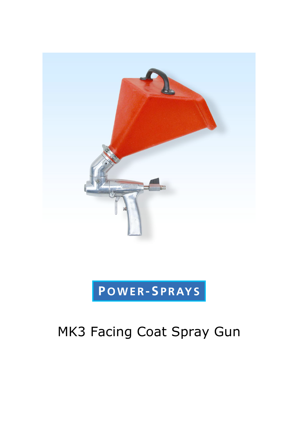

## POWER-SPRAYS

## MK3 Facing Coat Spray Gun